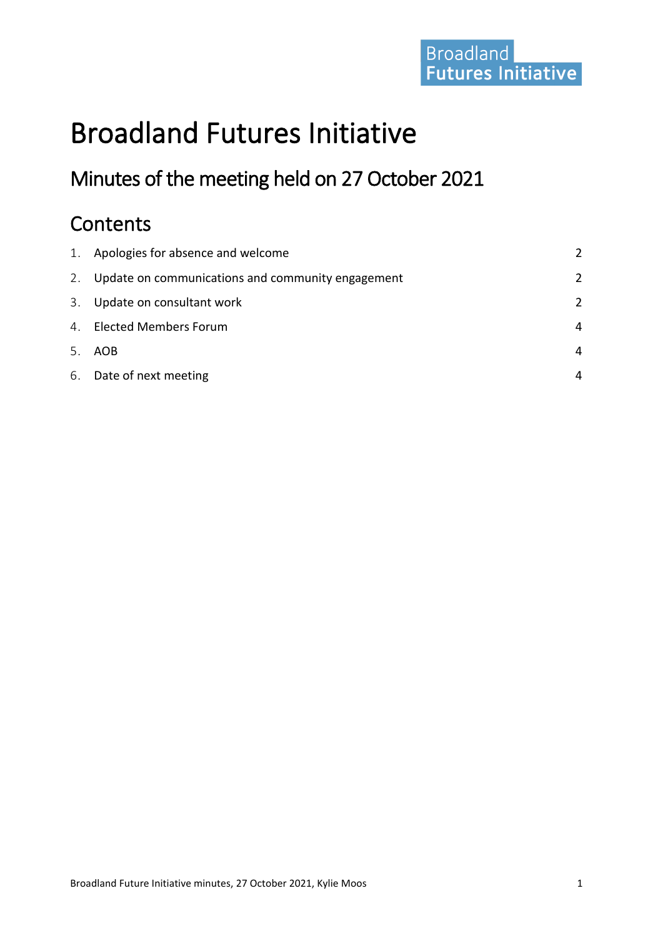# Broadland<br>Futures Initiative

## Broadland Futures Initiative

### Minutes of the meeting held on 27 October 2021

### **Contents**

| 1. Apologies for absence and welcome                 | $\mathcal{P}$ |
|------------------------------------------------------|---------------|
| 2. Update on communications and community engagement | $\mathcal{P}$ |
| 3. Update on consultant work                         | $\mathcal{P}$ |
| 4. Elected Members Forum                             | 4             |
| 5. AOB                                               | 4             |
| 6. Date of next meeting                              | 4             |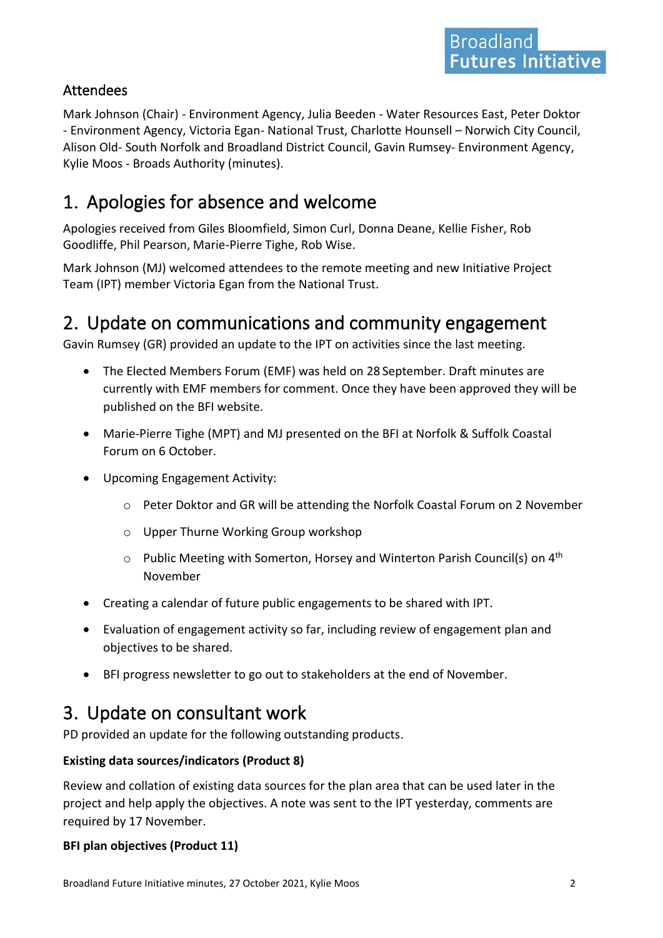#### Attendees

Mark Johnson (Chair) - Environment Agency, Julia Beeden - Water Resources East, Peter Doktor - Environment Agency, Victoria Egan- National Trust, Charlotte Hounsell – Norwich City Council, Alison Old- South Norfolk and Broadland District Council, Gavin Rumsey- Environment Agency, Kylie Moos - Broads Authority (minutes).

### <span id="page-1-0"></span>1. Apologies for absence and welcome

Apologies received from Giles Bloomfield, Simon Curl, Donna Deane, Kellie Fisher, Rob Goodliffe, Phil Pearson, Marie-Pierre Tighe, Rob Wise.

Mark Johnson (MJ) welcomed attendees to the remote meeting and new Initiative Project Team (IPT) member Victoria Egan from the National Trust.

### <span id="page-1-1"></span>2. Update on communications and community engagement

Gavin Rumsey (GR) provided an update to the IPT on activities since the last meeting.

- The Elected Members Forum (EMF) was held on 28 September. Draft minutes are currently with EMF members for comment. Once they have been approved they will be published on the BFI website.
- Marie-Pierre Tighe (MPT) and MJ presented on the BFI at Norfolk & Suffolk Coastal Forum on 6 October.
- Upcoming Engagement Activity:
	- o Peter Doktor and GR will be attending the Norfolk Coastal Forum on 2 November
	- o Upper Thurne Working Group workshop
	- $\circ$  Public Meeting with Somerton, Horsey and Winterton Parish Council(s) on 4<sup>th</sup> November
- Creating a calendar of future public engagements to be shared with IPT.
- Evaluation of engagement activity so far, including review of engagement plan and objectives to be shared.
- BFI progress newsletter to go out to stakeholders at the end of November.

### <span id="page-1-2"></span>3. Update on consultant work

PD provided an update for the following outstanding products.

#### **Existing data sources/indicators (Product 8)**

Review and collation of existing data sources for the plan area that can be used later in the project and help apply the objectives. A note was sent to the IPT yesterday, comments are required by 17 November.

#### **BFI plan objectives (Product 11)**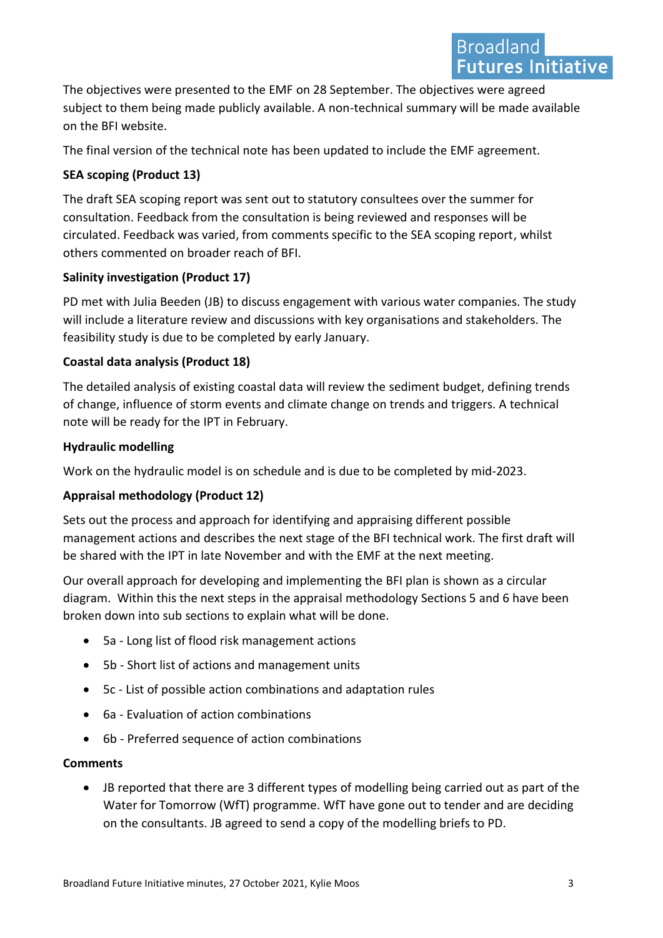The objectives were presented to the EMF on 28 September. The objectives were agreed subject to them being made publicly available. A non-technical summary will be made available on the BFI website.

The final version of the technical note has been updated to include the EMF agreement.

#### **SEA scoping (Product 13)**

The draft SEA scoping report was sent out to statutory consultees over the summer for consultation. Feedback from the consultation is being reviewed and responses will be circulated. Feedback was varied, from comments specific to the SEA scoping report, whilst others commented on broader reach of BFI.

#### **Salinity investigation (Product 17)**

PD met with Julia Beeden (JB) to discuss engagement with various water companies. The study will include a literature review and discussions with key organisations and stakeholders. The feasibility study is due to be completed by early January.

#### **Coastal data analysis (Product 18)**

The detailed analysis of existing coastal data will review the sediment budget, defining trends of change, influence of storm events and climate change on trends and triggers. A technical note will be ready for the IPT in February.

#### **Hydraulic modelling**

Work on the hydraulic model is on schedule and is due to be completed by mid-2023.

#### **Appraisal methodology (Product 12)**

Sets out the process and approach for identifying and appraising different possible management actions and describes the next stage of the BFI technical work. The first draft will be shared with the IPT in late November and with the EMF at the next meeting.

Our overall approach for developing and implementing the BFI plan is shown as a circular diagram. Within this the next steps in the appraisal methodology Sections 5 and 6 have been broken down into sub sections to explain what will be done.

- 5a Long list of flood risk management actions
- 5b Short list of actions and management units
- 5c List of possible action combinations and adaptation rules
- 6a Evaluation of action combinations
- 6b Preferred sequence of action combinations

#### **Comments**

• JB reported that there are 3 different types of modelling being carried out as part of the Water for Tomorrow (WfT) programme. WfT have gone out to tender and are deciding on the consultants. JB agreed to send a copy of the modelling briefs to PD.